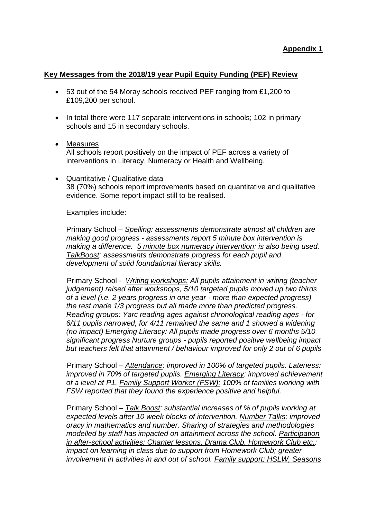## **Key Messages from the 2018/19 year Pupil Equity Funding (PEF) Review**

- 53 out of the 54 Moray schools received PEF ranging from £1,200 to £109,200 per school.
- In total there were 117 separate interventions in schools; 102 in primary schools and 15 in secondary schools.
- Measures

All schools report positively on the impact of PEF across a variety of interventions in Literacy, Numeracy or Health and Wellbeing.

• Quantitative / Qualitative data 38 (70%) schools report improvements based on quantitative and qualitative evidence. Some report impact still to be realised.

Examples include:

Primary School – *Spelling: assessments demonstrate almost all children are making good progress - assessments report 5 minute box intervention is making a difference. 5 minute box numeracy intervention: is also being used. TalkBoost: assessments demonstrate progress for each pupil and development of solid foundational literacy skills.*

Primary School - *Writing workshops: All pupils attainment in writing (teacher judgement) raised after workshops, 5/10 targeted pupils moved up two thirds of a level (i.e. 2 years progress in one year - more than expected progress) the rest made 1/3 progress but all made more than predicted progress. Reading groups: Yarc reading ages against chronological reading ages - for 6/11 pupils narrowed, for 4/11 remained the same and 1 showed a widening (no impact) Emerging Literacy: All pupils made progress over 6 months 5/10 significant progress Nurture groups - pupils reported positive wellbeing impact but teachers felt that attainment / behaviour improved for only 2 out of 6 pupils*

Primary School – *Attendance: improved in 100% of targeted pupils. Lateness: improved in 70% of targeted pupils. Emerging Literacy: improved achievement of a level at P1. Family Support Worker (FSW): 100% of families working with FSW reported that they found the experience positive and helpful.*

Primary School – *Talk Boost: substantial increases of % of pupils working at expected levels after 10 week blocks of intervention. Number Talks: improved oracy in mathematics and number. Sharing of strategies and methodologies modelled by staff has impacted on attainment across the school. Participation in after-school activities: Chanter lessons, Drama Club, Homework Club etc.: impact on learning in class due to support from Homework Club; greater involvement in activities in and out of school. Family support: HSLW, Seasons*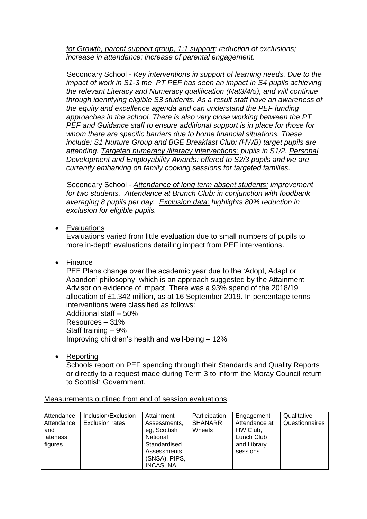*for Growth, parent support group, 1:1 support: reduction of exclusions; increase in attendance; increase of parental engagement.*

Secondary School - *Key interventions in support of learning needs. Due to the impact of work in S1-3 the PT PEF has seen an impact in S4 pupils achieving the relevant Literacy and Numeracy qualification (Nat3/4/5), and will continue through identifying eligible S3 students. As a result staff have an awareness of the equity and excellence agenda and can understand the PEF funding approaches in the school. There is also very close working between the PT PEF and Guidance staff to ensure additional support is in place for those for whom there are specific barriers due to home financial situations. These include: S1 Nurture Group and BGE Breakfast Club: (HWB) target pupils are attending. Targeted numeracy /literacy interventions: pupils in S1/2. Personal Development and Employability Awards: offered to S2/3 pupils and we are currently embarking on family cooking sessions for targeted families.*

Secondary School - *Attendance of long term absent students: improvement for two students. Attendance at Brunch Club: in conjunction with foodbank averaging 8 pupils per day. Exclusion data: highlights 80% reduction in exclusion for eligible pupils.*

• Evaluations

Evaluations varied from little evaluation due to small numbers of pupils to more in-depth evaluations detailing impact from PEF interventions.

• Finance

PEF Plans change over the academic year due to the 'Adopt, Adapt or Abandon' philosophy which is an approach suggested by the Attainment Advisor on evidence of impact. There was a 93% spend of the 2018/19 allocation of £1.342 million, as at 16 September 2019. In percentage terms interventions were classified as follows: Additional staff – 50%

Resources – 31% Staff training – 9% Improving children's health and well-being – 12%

• Reporting

Schools report on PEF spending through their Standards and Quality Reports or directly to a request made during Term 3 to inform the Moray Council return to Scottish Government.

| Attendance                    | Inclusion/Exclusion    | Attainment                                                       | Participation             | Engagement                              | Qualitative    |
|-------------------------------|------------------------|------------------------------------------------------------------|---------------------------|-----------------------------------------|----------------|
| Attendance<br>and<br>lateness | <b>Exclusion rates</b> | Assessments.<br>eg, Scottish<br>National                         | <b>SHANARRI</b><br>Wheels | Attendance at<br>HW Club,<br>Lunch Club | Questionnaires |
| figures                       |                        | Standardised<br>Assessments<br>(SNSA), PIPS,<br><b>INCAS, NA</b> |                           | and Library<br>sessions                 |                |

Measurements outlined from end of session evaluations